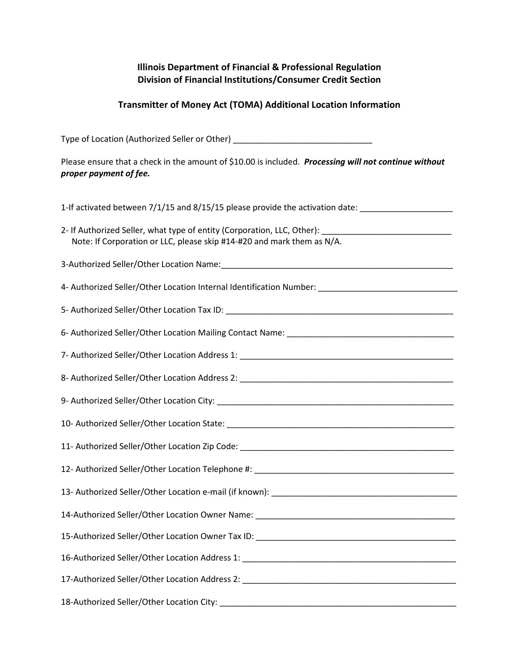## Illinois Department of Financial & Professional Regulation Division of Financial Institutions/Consumer Credit Section

## Transmitter of Money Act (TOMA) Additional Location Information

| Type of Location (Authorized Seller or Other) __________________________________                                                                                               |
|--------------------------------------------------------------------------------------------------------------------------------------------------------------------------------|
| Please ensure that a check in the amount of \$10.00 is included. Processing will not continue without<br>proper payment of fee.                                                |
| 1-If activated between 7/1/15 and 8/15/15 please provide the activation date: _____________________                                                                            |
| 2- If Authorized Seller, what type of entity (Corporation, LLC, Other): ____________________________<br>Note: If Corporation or LLC, please skip #14-#20 and mark them as N/A. |
|                                                                                                                                                                                |
| 4- Authorized Seller/Other Location Internal Identification Number: _______________________________                                                                            |
|                                                                                                                                                                                |
|                                                                                                                                                                                |
|                                                                                                                                                                                |
|                                                                                                                                                                                |
|                                                                                                                                                                                |
|                                                                                                                                                                                |
|                                                                                                                                                                                |
|                                                                                                                                                                                |
|                                                                                                                                                                                |
|                                                                                                                                                                                |
|                                                                                                                                                                                |
|                                                                                                                                                                                |
|                                                                                                                                                                                |
|                                                                                                                                                                                |